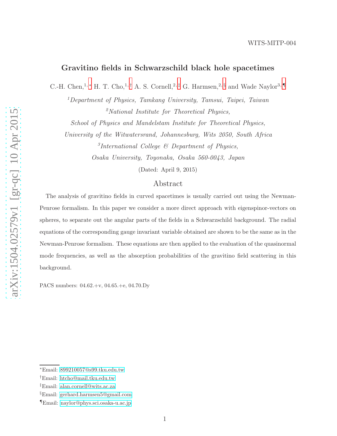# Gravitino fields in Schwarzschild black hole spacetimes

C.-H. Chen,<sup>1,\*</sup> H. T. Cho,<sup>1,[†](#page-0-1)</sup> A. S. Cornell,<sup>2,[‡](#page-0-2)</sup> G. Harmsen,<sup>2, [§](#page-0-3)</sup> and Wade Naylor<sup>3,</sup> [¶](#page-0-4)

<sup>1</sup>Department of Physics, Tamkang University, Tamsui, Taipei, Taiwan <sup>2</sup>National Institute for Theoretical Physics,

School of Physics and Mandelstam Institute for Theoretical Physics,

University of the Witwatersrand, Johannesburg, Wits 2050, South Africa

3 International College & Department of Physics, Osaka University, Toyonaka, Osaka 560-0043, Japan

(Dated: April 9, 2015)

## Abstract

The analysis of gravitino fields in curved spacetimes is usually carried out using the Newman-Penrose formalism. In this paper we consider a more direct approach with eigenspinor-vectors on spheres, to separate out the angular parts of the fields in a Schwarzschild background. The radial equations of the corresponding gauge invariant variable obtained are shown to be the same as in the Newman-Penrose formalism. These equations are then applied to the evaluation of the quasinormal mode frequencies, as well as the absorption probabilities of the gravitino field scattering in this background.

PACS numbers: 04.62.+v, 04.65.+e, 04.70.Dy

<span id="page-0-1"></span><span id="page-0-0"></span><sup>∗</sup>Email: [899210057@s99.tku.edu.tw](mailto:899210057@s99.tku.edu.tw)

<span id="page-0-2"></span><sup>†</sup>Email: [htcho@mail.tku.edu.tw](mailto:htcho@mail.tku.edu.tw)

<span id="page-0-3"></span><sup>‡</sup>Email: [alan.cornell@wits.ac.za](mailto:alan.cornell@wits.ac.za)

<span id="page-0-4"></span><sup>§</sup>Email: [gerhard.harmsen5@gmail.com](mailto:gerhard.harmsen5@gmail.com)

<sup>¶</sup>Email: [naylor@phys.sci.osaka-u.ac.jp](mailto:naylor@phys.sci.osaka-u.ac.jp)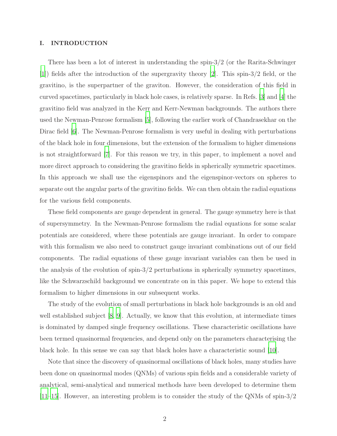### I. INTRODUCTION

There has been a lot of interest in understanding the spin-3/2 (or the Rarita-Schwinger [\[1](#page-19-0)]) fields after the introduction of the supergravity theory [\[2\]](#page-19-1). This spin-3/2 field, or the gravitino, is the superpartner of the graviton. However, the consideration of this field in curved spacetimes, particularly in black hole cases, is relatively sparse. In Refs. [\[3](#page-19-2)] and [\[4\]](#page-19-3) the gravitino field was analyzed in the Kerr and Kerr-Newman backgrounds. The authors there used the Newman-Penrose formalism [\[5\]](#page-19-4), following the earlier work of Chandrasekhar on the Dirac field [\[6\]](#page-19-5). The Newman-Penrose formalism is very useful in dealing with perturbations of the black hole in four dimensions, but the extension of the formalism to higher dimensions is not straightforward [\[7](#page-19-6)]. For this reason we try, in this paper, to implement a novel and more direct approach to considering the gravitino fields in spherically symmetric spacetimes. In this approach we shall use the eigenspinors and the eigenspinor-vectors on spheres to separate out the angular parts of the gravitino fields. We can then obtain the radial equations for the various field components.

These field components are gauge dependent in general. The gauge symmetry here is that of supersymmetry. In the Newman-Penrose formalism the radial equations for some scalar potentials are considered, where these potentials are gauge invariant. In order to compare with this formalism we also need to construct gauge invariant combinations out of our field components. The radial equations of these gauge invariant variables can then be used in the analysis of the evolution of spin-3/2 perturbations in spherically symmetry spacetimes, like the Schwarzschild background we concentrate on in this paper. We hope to extend this formalism to higher dimensions in our subsequent works.

The study of the evolution of small perturbations in black hole backgrounds is an old and well established subject [\[8](#page-19-7), [9](#page-19-8)]. Actually, we know that this evolution, at intermediate times is dominated by damped single frequency oscillations. These characteristic oscillations have been termed quasinormal frequencies, and depend only on the parameters characterising the black hole. In this sense we can say that black holes have a characteristic sound [\[10\]](#page-19-9).

Note that since the discovery of quasinormal oscillations of black holes, many studies have been done on quasinormal modes (QNMs) of various spin fields and a considerable variety of analytical, semi-analytical and numerical methods have been developed to determine them [\[11](#page-19-10)[–15\]](#page-20-0). However, an interesting problem is to consider the study of the QNMs of spin-3/2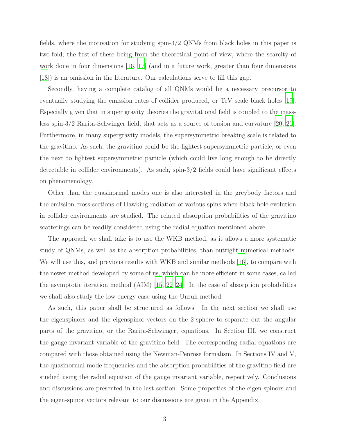fields, where the motivation for studying spin-3/2 QNMs from black holes in this paper is two-fold; the first of these being from the theoretical point of view, where the scarcity of work done in four dimensions [\[16](#page-20-1), [17\]](#page-20-2) (and in a future work, greater than four dimensions [\[18\]](#page-20-3)) is an omission in the literature. Our calculations serve to fill this gap.

Secondly, having a complete catalog of all QNMs would be a necessary precursor to eventually studying the emission rates of collider produced, or TeV scale black holes [\[19\]](#page-20-4). Especially given that in super gravity theories the gravitational field is coupled to the massless spin-3/2 Rarita-Schwinger field, that acts as a source of torsion and curvature [\[20,](#page-20-5) [21\]](#page-20-6). Furthermore, in many supergravity models, the supersymmetric breaking scale is related to the gravitino. As such, the gravitino could be the lightest supersymmetric particle, or even the next to lightest supersymmetric particle (which could live long enough to be directly detectable in collider environments). As such, spin-3/2 fields could have significant effects on phenomenology.

Other than the quasinormal modes one is also interested in the greybody factors and the emission cross-sections of Hawking radiation of various spins when black hole evolution in collider environments are studied. The related absorption probabilities of the gravitino scatterings can be readily considered using the radial equation mentioned above.

The approach we shall take is to use the WKB method, as it allows a more systematic study of QNMs, as well as the absorption probabilities, than outright numerical methods. We will use this, and previous results with WKB and similar methods [\[16](#page-20-1)], to compare with the newer method developed by some of us, which can be more efficient in some cases, called the asymptotic iteration method  $(AIM)$  [\[15,](#page-20-0) [22](#page-20-7)[–24](#page-20-8)]. In the case of absorption probabilities we shall also study the low energy case using the Unruh method.

As such, this paper shall be structured as follows. In the next section we shall use the eigenspinors and the eigenspinor-vectors on the 2-sphere to separate out the angular parts of the gravitino, or the Rarita-Schwinger, equations. In Section III, we construct the gauge-invariant variable of the gravitino field. The corresponding radial equations are compared with those obtained using the Newman-Penrose formalism. In Sections IV and V, the quasinormal mode frequencies and the absorption probabilities of the gravitino field are studied using the radial equation of the gauge invariant variable, respectively. Conclusions and discussions are presented in the last section. Some properties of the eigen-spinors and the eigen-spinor vectors relevant to our discussions are given in the Appendix.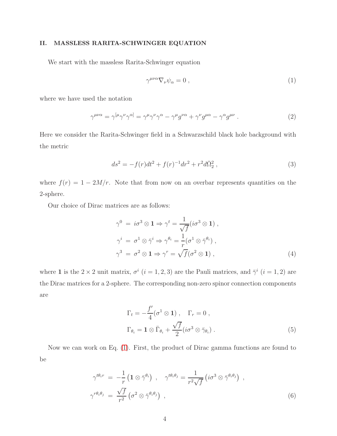## II. MASSLESS RARITA-SCHWINGER EQUATION

We start with the massless Rarita-Schwinger equation

<span id="page-3-0"></span>
$$
\gamma^{\mu\nu\alpha}\nabla_{\nu}\psi_{\alpha} = 0 , \qquad (1)
$$

where we have used the notation

$$
\gamma^{\mu\nu\alpha} = \gamma^{[\mu}\gamma^{\nu}\gamma^{\alpha]} = \gamma^{\mu}\gamma^{\nu}\gamma^{\alpha} - \gamma^{\mu}g^{\nu\alpha} + \gamma^{\nu}g^{\mu\alpha} - \gamma^{\alpha}g^{\mu\nu} . \tag{2}
$$

Here we consider the Rarita-Schwinger field in a Schwarzschild black hole background with the metric

$$
ds^{2} = -f(r)dt^{2} + f(r)^{-1}dr^{2} + r^{2}d\bar{\Omega}_{2}^{2} , \qquad (3)
$$

where  $f(r) = 1 - 2M/r$ . Note that from now on an overbar represents quantities on the 2-sphere.

Our choice of Dirac matrices are as follows:

$$
\gamma^{0} = i\sigma^{3} \otimes \mathbf{1} \Rightarrow \gamma^{t} = \frac{1}{\sqrt{f}} (i\sigma^{3} \otimes \mathbf{1}),
$$
  
\n
$$
\gamma^{i} = \sigma^{1} \otimes \bar{\gamma}^{i} \Rightarrow \gamma^{\theta_{i}} = \frac{1}{r} (\sigma^{1} \otimes \bar{\gamma}^{\theta_{i}}),
$$
  
\n
$$
\gamma^{3} = \sigma^{2} \otimes \mathbf{1} \Rightarrow \gamma^{r} = \sqrt{f} (\sigma^{2} \otimes \mathbf{1}),
$$
\n(4)

where 1 is the  $2 \times 2$  unit matrix,  $\sigma^i$   $(i = 1, 2, 3)$  are the Pauli matrices, and  $\bar{\gamma}^i$   $(i = 1, 2)$  are the Dirac matrices for a 2-sphere. The corresponding non-zero spinor connection components are

$$
\Gamma_t = -\frac{f'}{4} (\sigma^1 \otimes 1) , \quad \Gamma_r = 0 ,
$$
  
\n
$$
\Gamma_{\theta_i} = \mathbf{1} \otimes \bar{\Gamma}_{\theta_i} + \frac{\sqrt{f}}{2} (i\sigma^3 \otimes \bar{\gamma}_{\theta_i}).
$$
\n(5)

Now we can work on Eq. [\(1\)](#page-3-0). First, the product of Dirac gamma functions are found to be

$$
\gamma^{t\theta_i r} = -\frac{1}{r} \left( \mathbf{1} \otimes \bar{\gamma}^{\theta_i} \right) , \quad \gamma^{t\theta_i \theta_j} = \frac{1}{r^2 \sqrt{f}} \left( i \sigma^3 \otimes \bar{\gamma}^{\theta_i \theta_j} \right) ,
$$
  

$$
\gamma^{r\theta_i \theta_j} = \frac{\sqrt{f}}{r^2} \left( \sigma^2 \otimes \bar{\gamma}^{\theta_i \theta_j} \right) , \tag{6}
$$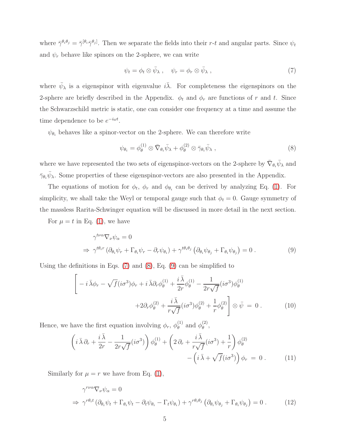where  $\bar{\gamma}^{\theta_i \theta_j} = \bar{\gamma}^{[\theta_i} \bar{\gamma}^{\theta_j]}$ . Then we separate the fields into their r-t and angular parts. Since  $\psi_t$ and  $\psi_r$  behave like spinors on the 2-sphere, we can write

<span id="page-4-0"></span>
$$
\psi_t = \phi_t \otimes \bar{\psi}_\lambda \,, \quad \psi_r = \phi_r \otimes \bar{\psi}_\lambda \,, \tag{7}
$$

where  $\bar{\psi}_{\lambda}$  is a eigenspinor with eigenvalue  $i\bar{\lambda}$ . For completeness the eigenspinors on the 2-sphere are briefly described in the Appendix.  $\phi_t$  and  $\phi_r$  are functions of r and t. Since the Schwarzschild metric is static, one can consider one frequency at a time and assume the time dependence to be  $e^{-i\omega t}$ .

 $\psi_{\theta_i}$  behaves like a spinor-vector on the 2-sphere. We can therefore write

<span id="page-4-1"></span>
$$
\psi_{\theta_i} = \phi_{\theta}^{(1)} \otimes \bar{\nabla}_{\theta_i} \bar{\psi}_{\lambda} + \phi_{\theta}^{(2)} \otimes \bar{\gamma}_{\theta_i} \bar{\psi}_{\lambda} , \qquad (8)
$$

where we have represented the two sets of eigenspinor-vectors on the 2-sphere by  $\bar{\nabla}_{\theta_i} \bar{\psi}_{\lambda}$  and  $\bar{\gamma}_{\theta_i}\bar{\psi}_{\lambda}$ . Some properties of these eigenspinor-vectors are also presented in the Appendix.

The equations of motion for  $\phi_t$ ,  $\phi_r$  and  $\phi_{\theta_i}$  can be derived by analyzing Eq. [\(1\)](#page-3-0). For simplicity, we shall take the Weyl or temporal gauge such that  $\phi_t = 0$ . Gauge symmetry of the massless Rarita-Schwinger equation will be discussed in more detail in the next section.

For  $\mu = t$  in Eq. [\(1\)](#page-3-0), we have

<span id="page-4-2"></span>
$$
\gamma^{t\nu\alpha}\nabla_{\nu}\psi_{\alpha} = 0
$$
\n
$$
\Rightarrow \gamma^{t\theta_{i}r} \left( \partial_{\theta_{i}}\psi_{r} + \Gamma_{\theta_{i}}\psi_{r} - \partial_{r}\psi_{\theta_{i}} \right) + \gamma^{t\theta_{i}\theta_{j}} \left( \partial_{\theta_{i}}\psi_{\theta_{j}} + \Gamma_{\theta_{i}}\psi_{\theta_{j}} \right) = 0.
$$
\n(9)

Using the definitions in Eqs.  $(7)$  and  $(8)$ , Eq.  $(9)$  can be simplified to

$$
\left[ -i\,\overline{\lambda}\phi_r - \sqrt{f}(i\sigma^3)\phi_r + i\,\overline{\lambda}\partial_r\phi_\theta^{(1)} + \frac{i\,\overline{\lambda}}{2r}\phi_\theta^{(1)} - \frac{1}{2r\sqrt{f}}(i\sigma^3)\phi_\theta^{(1)} + 2\partial_r\phi_\theta^{(2)} + \frac{i\,\overline{\lambda}}{r\sqrt{f}}(i\sigma^3)\phi_\theta^{(2)} + \frac{1}{r}\phi_\theta^{(2)} \right] \otimes \bar{\psi} = 0.
$$
 (10)

Hence, we have the first equation involving  $\phi_r$ ,  $\phi_\theta^{(1)}$  $_{\theta}^{(1)}$  and  $_{\phi}^{(2)}$  $\overset{(2)}{\theta}$ 

<span id="page-4-4"></span>
$$
\left(i\,\overline{\lambda}\,\partial_r + \frac{i\,\overline{\lambda}}{2r} - \frac{1}{2r\sqrt{f}}(i\sigma^3)\right)\phi_\theta^{(1)} + \left(2\,\partial_r + \frac{i\,\overline{\lambda}}{r\sqrt{f}}(i\sigma^3) + \frac{1}{r}\right)\phi_\theta^{(2)} - \left(i\,\overline{\lambda} + \sqrt{f}(i\sigma^3)\right)\phi_r = 0.
$$
\n(11)

Similarly for  $\mu = r$  we have from Eq. [\(1\)](#page-3-0),

<span id="page-4-3"></span>
$$
\gamma^{r\nu\alpha}\nabla_{\nu}\psi_{\alpha} = 0
$$
  
\n
$$
\Rightarrow \gamma^{r\theta_{i}t} \left( \partial_{\theta_{i}} \psi_{t} + \Gamma_{\theta_{i}} \psi_{t} - \partial_{t} \psi_{\theta_{i}} - \Gamma_{t} \psi_{\theta_{i}} \right) + \gamma^{r\theta_{i}\theta_{j}} \left( \partial_{\theta_{i}} \psi_{\theta_{j}} + \Gamma_{\theta_{i}} \psi_{\theta_{j}} \right) = 0.
$$
 (12)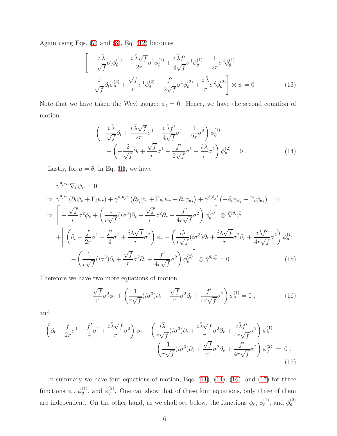Again using Eqs. [\(7\)](#page-4-0) and [\(8\)](#page-4-1), Eq. [\(12\)](#page-4-3) becomes

$$
\left[ -\frac{i\,\bar{\lambda}}{\sqrt{f}} \partial_t \phi_\theta^{(1)} + \frac{i\,\bar{\lambda}\sqrt{f}}{2r} \sigma^1 \phi_\theta^{(1)} + \frac{i\,\bar{\lambda}f'}{4\sqrt{f}} \sigma^1 \phi_\theta^{(1)} - \frac{1}{2r} \sigma^2 \phi_\theta^{(1)} \right. \\
\left. -\frac{2}{\sqrt{f}} \partial_t \phi_\theta^{(2)} + \frac{\sqrt{f}}{r} \sigma^1 \phi_\theta^{(2)} + \frac{f'}{2\sqrt{f}} \sigma^1 \phi_\theta^{(2)} + \frac{i\,\bar{\lambda}}{r} \sigma^2 \phi_\theta^{(2)} \right] \otimes \bar{\psi} = 0 \,. \tag{13}
$$

Note that we have taken the Weyl gauge:  $\phi_t = 0$ . Hence, we have the second equation of motion

<span id="page-5-0"></span>
$$
\begin{split}\n&\left(-\frac{i\,\bar{\lambda}}{\sqrt{f}}\partial_t + \frac{i\,\bar{\lambda}\sqrt{f}}{2r}\sigma^1 + \frac{i\,\bar{\lambda}f'}{4\sqrt{f}}\sigma^1 - \frac{1}{2r}\sigma^2\right)\phi_\theta^{(1)} \\
&+ \left(-\frac{2}{\sqrt{f}}\partial_t + \frac{\sqrt{f}}{r}\sigma^1 + \frac{f'}{2\sqrt{f}}\sigma^1 + \frac{i\,\bar{\lambda}}{r}\sigma^2\right)\phi_\theta^{(2)} = 0\,. \n\end{split} \tag{14}
$$

Lastly, for  $\mu = \theta_i$  in Eq. [\(1\)](#page-3-0), we have

$$
\gamma^{\theta_i \nu \alpha} \nabla_{\nu} \psi_{\alpha} = 0
$$
\n
$$
\Rightarrow \gamma^{\theta_i tr} \left( \partial_t \psi_r + \Gamma_t \psi_r \right) + \gamma^{\theta_i \theta_j r} \left( \partial_{\theta_j} \psi_r + \Gamma_{\theta_j} \psi_r - \partial_r \psi_{\theta_j} \right) + \gamma^{\theta_i \theta_j t} \left( -\partial_t \psi_{\theta_j} - \Gamma_t \psi_{\theta_j} \right) = 0
$$
\n
$$
\Rightarrow \left[ -\frac{\sqrt{f}}{r} \sigma^2 \phi_r + \left( \frac{1}{r \sqrt{f}} (i \sigma^3) \partial_t + \frac{\sqrt{f}}{r} \sigma^2 \partial_r + \frac{f'}{4r \sqrt{f}} \sigma^2 \right) \phi_{\theta}^{(1)} \right] \otimes \bar{\nabla}^{\theta_i} \bar{\psi}
$$
\n
$$
+ \left[ \left( \partial_t - \frac{f}{2r} \sigma^1 - \frac{f'}{4} \sigma^1 + \frac{i \bar{\lambda} \sqrt{f}}{r} \sigma^2 \right) \phi_r - \left( \frac{i \bar{\lambda}}{r \sqrt{f}} (i \sigma^3) \partial_t + \frac{i \bar{\lambda} \sqrt{f}}{r} \sigma^2 \partial_r + \frac{i \bar{\lambda} f'}{4r \sqrt{f}} \sigma^2 \right) \phi_{\theta}^{(1)} \right]
$$
\n
$$
- \left( \frac{1}{r \sqrt{f}} (i \sigma^3) \partial_t + \frac{\sqrt{f}}{r} \sigma^2 \partial_r + \frac{f'}{4r \sqrt{f}} \sigma^2 \right) \phi_{\theta}^{(2)} \right] \otimes \bar{\gamma}^{\theta_i} \bar{\psi} = 0 \ . \tag{15}
$$

Therefore we have two more equations of motion

<span id="page-5-1"></span>
$$
-\frac{\sqrt{f}}{r}\sigma^2\phi_r + \left(\frac{1}{r\sqrt{f}}(i\sigma^3)\partial_t + \frac{\sqrt{f}}{r}\sigma^2\partial_r + \frac{f'}{4r\sqrt{f}}\sigma^2\right)\phi_\theta^{(1)} = 0\,,\tag{16}
$$

and

<span id="page-5-2"></span>
$$
\left(\partial_t - \frac{f}{2r}\sigma^1 - \frac{f'}{4}\sigma^1 + \frac{i\bar{\lambda}\sqrt{f}}{r}\sigma^2\right)\phi_r - \left(\frac{i\bar{\lambda}}{r\sqrt{f}}(i\sigma^3)\partial_t + \frac{i\bar{\lambda}\sqrt{f}}{r}\sigma^2\partial_r + \frac{i\bar{\lambda}f'}{4r\sqrt{f}}\sigma^2\right)\phi_\theta^{(1)} - \left(\frac{1}{r\sqrt{f}}(i\sigma^3)\partial_t + \frac{\sqrt{f}}{r}\sigma^2\partial_r + \frac{f'}{4r\sqrt{f}}\sigma^2\right)\phi_\theta^{(2)} = 0.
$$
\n(17)

In summary we have four equations of motion, Eqs.  $(11)$ ,  $(14)$ ,  $(16)$ , and  $(17)$  for three functions  $\phi_r$ ,  $\phi_\theta^{(1)}$  $\overset{(1)}{\theta}$ , and  $\phi_{\theta}^{(2)}$  $\theta_{\theta}^{(2)}$ . One can show that of these four equations, only three of them are independent. On the other hand, as we shall see below, the functions  $\phi_r$ ,  $\phi_\theta^{(1)}$  $\overset{(1)}{\theta}$ , and  $\phi_{\theta}^{(2)}$ θ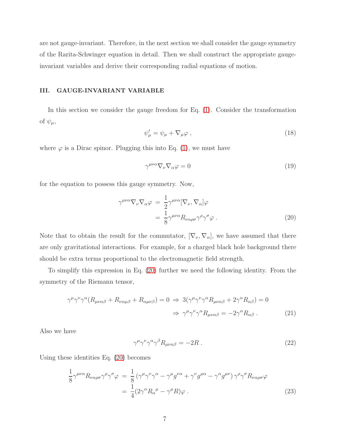are not gauge-invariant. Therefore, in the next section we shall consider the gauge symmetry of the Rarita-Schwinger equation in detail. Then we shall construct the appropriate gaugeinvariant variables and derive their corresponding radial equations of motion.

## III. GAUGE-INVARIANT VARIABLE

In this section we consider the gauge freedom for Eq. [\(1\)](#page-3-0). Consider the transformation of  $\psi_{\mu}$ ,

<span id="page-6-1"></span>
$$
\psi'_{\mu} = \psi_{\mu} + \nabla_{\mu}\varphi , \qquad (18)
$$

where  $\varphi$  is a Dirac spinor. Plugging this into Eq. [\(1\)](#page-3-0), we must have

$$
\gamma^{\mu\nu\alpha}\nabla_{\nu}\nabla_{\alpha}\varphi = 0 \tag{19}
$$

for the equation to possess this gauge symmetry. Now,

<span id="page-6-0"></span>
$$
\gamma^{\mu\nu\alpha}\nabla_{\nu}\nabla_{\alpha}\varphi = \frac{1}{2}\gamma^{\mu\nu\alpha}[\nabla_{\nu}, \nabla_{\alpha}]\varphi \n= \frac{1}{8}\gamma^{\mu\nu\alpha}R_{\nu\alpha\rho\sigma}\gamma^{\rho}\gamma^{\sigma}\varphi .
$$
\n(20)

Note that to obtain the result for the commutator,  $[\nabla_{\nu}, \nabla_{\alpha}]$ , we have assumed that there are only gravitational interactions. For example, for a charged black hole background there should be extra terms proportional to the electromagnetic field strength.

To simplify this expression in Eq. [\(20\)](#page-6-0) further we need the following identity. From the symmetry of the Riemann tensor,

$$
\gamma^{\mu} \gamma^{\nu} \gamma^{\alpha} (R_{\mu\nu\alpha\beta} + R_{\nu\alpha\mu\beta} + R_{\alpha\mu\nu\beta}) = 0 \Rightarrow 3(\gamma^{\mu} \gamma^{\nu} \gamma^{\alpha} R_{\mu\nu\alpha\beta} + 2\gamma^{\alpha} R_{\alpha\beta}) = 0
$$
  

$$
\Rightarrow \gamma^{\mu} \gamma^{\nu} \gamma^{\alpha} R_{\mu\nu\alpha\beta} = -2\gamma^{\alpha} R_{\alpha\beta} . \tag{21}
$$

Also we have

$$
\gamma^{\mu}\gamma^{\nu}\gamma^{\alpha}\gamma^{\beta}R_{\mu\nu\alpha\beta} = -2R. \qquad (22)
$$

Using these identities Eq. [\(20\)](#page-6-0) becomes

$$
\frac{1}{8} \gamma^{\mu\nu\alpha} R_{\nu\alpha\rho\sigma} \gamma^{\rho} \gamma^{\sigma} \varphi = \frac{1}{8} \left( \gamma^{\mu} \gamma^{\nu} \gamma^{\alpha} - \gamma^{\mu} g^{\nu\alpha} + \gamma^{\nu} g^{\mu\alpha} - \gamma^{\alpha} g^{\mu\nu} \right) \gamma^{\rho} \gamma^{\sigma} R_{\nu\alpha\rho\sigma} \varphi \n= \frac{1}{4} (2 \gamma^{\alpha} R_{\alpha}{}^{\mu} - \gamma^{\mu} R) \varphi .
$$
\n(23)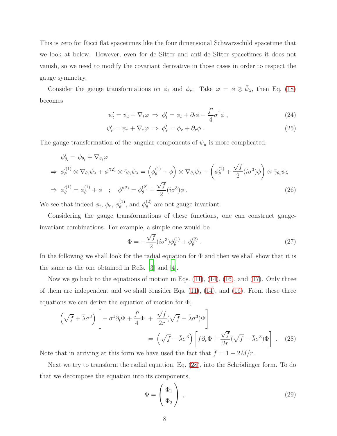This is zero for Ricci flat spacetimes like the four dimensional Schwarzschild spacetime that we look at below. However, even for de Sitter and anti-de Sitter spacetimes it does not vanish, so we need to modify the covariant derivative in those cases in order to respect the gauge symmetry.

Consider the gauge transformations on  $\phi_t$  and  $\phi_r$ . Take  $\varphi = \phi \otimes \bar{\psi}_{\lambda}$ , then Eq. [\(18\)](#page-6-1) becomes

$$
\psi'_t = \psi_t + \nabla_t \varphi \Rightarrow \phi'_t = \phi_t + \partial_t \phi - \frac{f'}{4} \sigma^1 \phi , \qquad (24)
$$

$$
\psi'_r = \psi_r + \nabla_r \varphi \Rightarrow \phi'_r = \phi_r + \partial_r \phi \,. \tag{25}
$$

The gauge transformation of the angular components of  $\psi_{\mu}$  is more complicated.

$$
\psi'_{\theta_i} = \psi_{\theta_i} + \nabla_{\theta_i} \varphi
$$
\n
$$
\Rightarrow \phi'^{(1)}_{\theta} \otimes \bar{\nabla}_{\theta_i} \bar{\psi}_{\lambda} + \phi'^{(2)} \otimes \bar{\gamma}_{\theta_i} \bar{\psi}_{\lambda} = \left(\phi^{(1)}_{\theta} + \phi\right) \otimes \bar{\nabla}_{\theta_i} \bar{\psi}_{\lambda} + \left(\phi^{(2)}_{\theta} + \frac{\sqrt{f}}{2} (i\sigma^3) \phi\right) \otimes \bar{\gamma}_{\theta_i} \bar{\psi}_{\lambda}
$$
\n
$$
\Rightarrow \phi'^{(1)}_{\theta} = \phi^{(1)}_{\theta} + \phi \quad ; \quad \phi'^{(2)} = \phi^{(2)}_{\theta} + \frac{\sqrt{f}}{2} (i\sigma^3) \phi \,. \tag{26}
$$

We see that indeed  $\phi_t$ ,  $\phi_r$ ,  $\phi_{\theta}^{(1)}$  $\overset{(1)}{\theta}$ , and  $\phi_{\theta}^{(2)}$  $\theta$ <sup>(2)</sup> are not gauge invariant.

Considering the gauge transformations of these functions, one can construct gaugeinvariant combinations. For example, a simple one would be

$$
\Phi = -\frac{\sqrt{f}}{2} (i\sigma^3) \phi_\theta^{(1)} + \phi_\theta^{(2)} . \tag{27}
$$

In the following we shall look for the radial equation for  $\Phi$  and then we shall show that it is the same as the one obtained in Refs. [\[3\]](#page-19-2) and [\[4\]](#page-19-3).

Now we go back to the equations of motion in Eqs.  $(11)$ ,  $(14)$ ,  $(16)$ , and  $(17)$ . Only three of them are independent and we shall consider Eqs.  $(11)$ ,  $(14)$ , and  $(16)$ . From these three equations we can derive the equation of motion for  $\Phi$ ,

<span id="page-7-0"></span>
$$
\left(\sqrt{f} + \bar{\lambda}\sigma^3\right) \left[ -\sigma^1 \partial_t \Phi + \frac{f'}{4} \Phi + \frac{\sqrt{f}}{2r} (\sqrt{f} - \bar{\lambda}\sigma^3) \Phi \right]
$$

$$
= \left(\sqrt{f} - \bar{\lambda}\sigma^3\right) \left[ f \partial_r \Phi + \frac{\sqrt{f}}{2r} (\sqrt{f} - \bar{\lambda}\sigma^3) \Phi \right]. \quad (28)
$$

Note that in arriving at this form we have used the fact that  $f = 1 - 2M/r$ .

Next we try to transform the radial equation, Eq.  $(28)$ , into the Schrödinger form. To do that we decompose the equation into its components,

$$
\Phi = \begin{pmatrix} \Phi_1 \\ \Phi_2 \end{pmatrix} , \qquad (29)
$$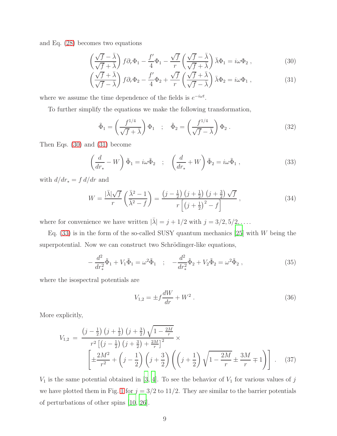and Eq. [\(28\)](#page-7-0) becomes two equations

<span id="page-8-0"></span>
$$
\left(\frac{\sqrt{f}-\bar{\lambda}}{\sqrt{f}+\bar{\lambda}}\right)f\partial_r\Phi_1 - \frac{f'}{4}\Phi_1 - \frac{\sqrt{f}}{r}\left(\frac{\sqrt{f}-\bar{\lambda}}{\sqrt{f}+\bar{\lambda}}\right)\bar{\lambda}\Phi_1 = i\omega\Phi_2 ,\qquad (30)
$$

$$
\left(\frac{\sqrt{f} + \bar{\lambda}}{\sqrt{f} - \bar{\lambda}}\right) f \partial_r \Phi_2 - \frac{f'}{4} \Phi_2 + \frac{\sqrt{f}}{r} \left(\frac{\sqrt{f} + \bar{\lambda}}{\sqrt{f} - \bar{\lambda}}\right) \bar{\lambda} \Phi_2 = i\omega \Phi_1 ,
$$
\n(31)

where we assume the time dependence of the fields is  $e^{-i\omega t}$ .

To further simplify the equations we make the following transformation,

$$
\tilde{\Phi}_1 = \left(\frac{f^{1/4}}{\sqrt{f} + \bar{\lambda}}\right) \Phi_1 \quad ; \quad \tilde{\Phi}_2 = \left(\frac{f^{1/4}}{\sqrt{f} - \bar{\lambda}}\right) \Phi_2 \,. \tag{32}
$$

Then Eqs. [\(30\)](#page-8-0) and [\(31\)](#page-8-0) become

<span id="page-8-1"></span>
$$
\left(\frac{d}{dr_*} - W\right)\tilde{\Phi}_1 = i\omega\tilde{\Phi}_2 \quad ; \quad \left(\frac{d}{dr_*} + W\right)\tilde{\Phi}_2 = i\omega\tilde{\Phi}_1 \,, \tag{33}
$$

with  $d/dr_* = f d/dr$  and

$$
W = \frac{|\bar{\lambda}|\sqrt{f}}{r} \left(\frac{\bar{\lambda}^2 - 1}{\bar{\lambda}^2 - f}\right) = \frac{\left(j - \frac{1}{2}\right)\left(j + \frac{1}{2}\right)\left(j + \frac{3}{2}\right)\sqrt{f}}{r\left[\left(j + \frac{1}{2}\right)^2 - f\right]},
$$
\n(34)

where for convenience we have written  $|\bar{\lambda}| = j + 1/2$  with  $j = 3/2, 5/2, \dots$ .

Eq.  $(33)$  is in the form of the so-called SUSY quantum mechanics  $[25]$  with W being the superpotential. Now we can construct two Schrödinger-like equations,

<span id="page-8-3"></span>
$$
-\frac{d^2}{dr_*^2}\tilde{\Phi}_1 + V_1\tilde{\Phi}_1 = \omega^2\tilde{\Phi}_1 \quad ; \quad -\frac{d^2}{dr_*^2}\tilde{\Phi}_2 + V_2\tilde{\Phi}_2 = \omega^2\tilde{\Phi}_2 \,, \tag{35}
$$

where the isospectral potentials are

$$
V_{1,2} = \pm f \frac{dW}{dr} + W^2 \,. \tag{36}
$$

More explicitly,

<span id="page-8-2"></span>
$$
V_{1,2} = \frac{\left(j - \frac{1}{2}\right)\left(j + \frac{1}{2}\right)\left(j + \frac{3}{2}\right)\sqrt{1 - \frac{2M}{r}}}{r^2\left[\left(j - \frac{1}{2}\right)\left(j + \frac{3}{2}\right) + \frac{2M}{r}\right]^2} \times \left[\pm \frac{2M^2}{r^2} + \left(j - \frac{1}{2}\right)\left(j + \frac{3}{2}\right)\left(\left(j + \frac{1}{2}\right)\sqrt{1 - \frac{2M}{r}} \pm \frac{3M}{r} \mp 1\right)\right].
$$
 (37)

 $V_1$  is the same potential obtained in [\[3](#page-19-2), [4](#page-19-3)]. To see the behavior of  $V_1$  for various values of j we have plotted them in Fig. [1](#page-9-0) for  $j = 3/2$  to 11/2. They are similar to the barrier potentials of perturbations of other spins [\[10,](#page-19-9) [26\]](#page-20-10).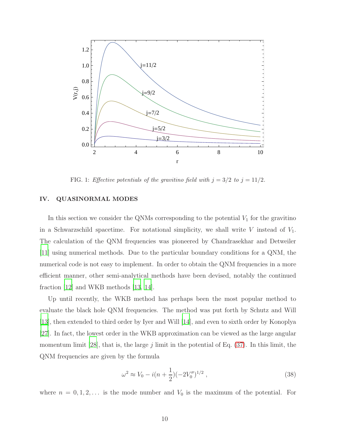

<span id="page-9-0"></span>FIG. 1: Effective potentials of the gravitino field with  $j = 3/2$  to  $j = 11/2$ .

### IV. QUASINORMAL MODES

In this section we consider the QNMs corresponding to the potential  $V_1$  for the gravitino in a Schwarzschild spacetime. For notational simplicity, we shall write  $V$  instead of  $V_1$ . The calculation of the QNM frequencies was pioneered by Chandrasekhar and Detweiler [\[11\]](#page-19-10) using numerical methods. Due to the particular boundary conditions for a QNM, the numerical code is not easy to implement. In order to obtain the QNM frequencies in a more efficient manner, other semi-analytical methods have been devised, notably the continued fraction [\[12](#page-19-11)] and WKB methods [\[13,](#page-19-12) [14\]](#page-19-13).

Up until recently, the WKB method has perhaps been the most popular method to evaluate the black hole QNM frequencies. The method was put forth by Schutz and Will [\[13\]](#page-19-12), then extended to third order by Iyer and Will [\[14](#page-19-13)], and even to sixth order by Konoplya [\[27\]](#page-20-11). In fact, the lowest order in the WKB approximation can be viewed as the large angular momentum limit [\[28\]](#page-20-12), that is, the large  $j$  limit in the potential of Eq. [\(37\)](#page-8-2). In this limit, the QNM frequencies are given by the formula

$$
\omega^2 \approx V_0 - i(n + \frac{1}{2})(-2V_0'')^{1/2},\qquad(38)
$$

where  $n = 0, 1, 2, \ldots$  is the mode number and  $V_0$  is the maximum of the potential. For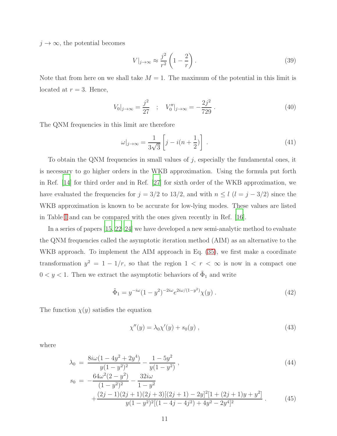$j \to \infty$ , the potential becomes

$$
V|_{j\to\infty} \approx \frac{j^2}{r^2} \left( 1 - \frac{2}{r} \right). \tag{39}
$$

Note that from here on we shall take  $M = 1$ . The maximum of the potential in this limit is located at  $r = 3$ . Hence,

$$
V_0|_{j\to\infty} = \frac{j^2}{27} \quad ; \quad V_0''|_{j\to\infty} = -\frac{2j^2}{729} \,. \tag{40}
$$

The QNM frequencies in this limit are therefore

$$
\omega|_{j\to\infty} = \frac{1}{3\sqrt{3}} \left[ j - i(n + \frac{1}{2}) \right] . \tag{41}
$$

To obtain the QNM frequencies in small values of  $j$ , especially the fundamental ones, it is necessary to go higher orders in the WKB approximation. Using the formula put forth in Ref. [\[14](#page-19-13)] for third order and in Ref. [\[27\]](#page-20-11) for sixth order of the WKB approximation, we have evaluated the frequencies for  $j = 3/2$  to 13/2, and with  $n \leq l$   $(l = j - 3/2)$  since the WKB approximation is known to be accurate for low-lying modes. These values are listed in Table [I](#page-11-0) and can be compared with the ones given recently in Ref. [\[16\]](#page-20-1).

In a series of papers [\[15](#page-20-0), [22](#page-20-7)[–24](#page-20-8)] we have developed a new semi-analytic method to evaluate the QNM frequencies called the asymptotic iteration method (AIM) as an alternative to the WKB approach. To implement the AIM approach in Eq.  $(35)$ , we first make a coordinate transformation  $y^2 = 1 - 1/r$ , so that the region  $1 < r < \infty$  is now in a compact one  $0 < y < 1$ . Then we extract the asymptotic behaviors of  $\tilde{\Phi}_1$  and write

$$
\tilde{\Phi}_1 = y^{-i\omega} (1 - y^2)^{-2i\omega} e^{2i\omega/(1 - y^2)} \chi(y) \,. \tag{42}
$$

The function  $\chi(y)$  satisfies the equation

<span id="page-10-0"></span>
$$
\chi''(y) = \lambda_0 \chi'(y) + s_0(y) , \qquad (43)
$$

where

$$
\lambda_0 = \frac{8i\omega(1 - 4y^2 + 2y^4)}{y(1 - y^2)^2} - \frac{1 - 5y^2}{y(1 - y^2)},
$$
\n(44)

$$
s_0 = -\frac{64\omega^2(2-y^2)}{(1-y^2)^2} - \frac{32i\omega}{1-y^2} + \frac{(2j-1)(2j+1)(2j+3)[(2j+1)-2y]^2[1+(2j+1)y+y^2]}{y(1-y^2)^2[(1-4j-4j^2)+4y^2-2y^4]^2}.
$$
 (45)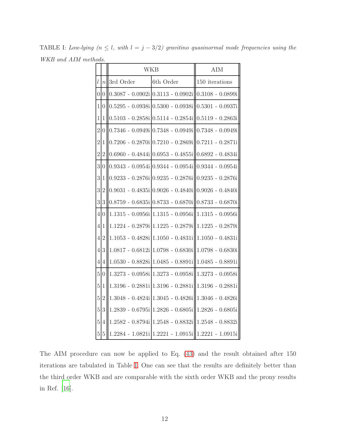<span id="page-11-0"></span>

|                  |                | <b>WKB</b>         |                                                                    | <b>AIM</b>                                |
|------------------|----------------|--------------------|--------------------------------------------------------------------|-------------------------------------------|
| $\boldsymbol{l}$ | $\overline{n}$ | 3rd Order          | 6th Order                                                          | 150 iterations                            |
| $\overline{0}$   | 0              |                    | $0.3087 - 0.0902i  0.3113 - 0.0902i 0.3108 - 0.0899i$              |                                           |
| $\mathbf{1}$     | $\theta$       |                    | $0.5295 - 0.0938i \mid 0.5300 - 0.0938i \mid 0.5301 - 0.0937i$     |                                           |
| $\mathbf{1}$     | $\mathbf{1}$   |                    | $0.5103 - 0.2858i \mid 0.5114 - 0.2854i \mid 0.5119 - 0.2863i$     |                                           |
| $\overline{2}$   | $\overline{0}$ |                    | $0.7346 - 0.0949i \times 0.7348 - 0.0949i \times 0.7348 - 0.0949i$ |                                           |
| $\overline{2}$   | 1              |                    | $0.7206 - 0.2870i \cdot  0.7210 - 0.2869i \cdot  0.7211 - 0.2871i$ |                                           |
| $\overline{2}$   | $\overline{2}$ |                    | $0.6960 - 0.4844i[0.6953 - 0.4855i[0.6892 - 0.4834i]$              |                                           |
| 3                | 0              |                    | $0.9343 - 0.0954i \, 0.9344 - 0.0954i \, 0.0344 - 0.0954i$         |                                           |
| 3                | 1              | $0.9233 - 0.2876i$ |                                                                    | $0.9235 - 0.2876i \  0.9235 - 0.2876i \ $ |
| 3                | $\overline{2}$ |                    | $0.9031 - 0.4835i \times 0.9026 - 0.4840i \times 0.9026 - 0.4840i$ |                                           |
| $\overline{3}$   | 3              |                    | $0.8759 - 0.6835i \times 0.8733 - 0.6870i \times 0.8733 - 0.6870i$ |                                           |
| $\overline{4}$   | 0              |                    | $1.1315 - 0.0956i \mid 1.1315 - 0.0956i \mid 1.1315 - 0.0956i$     |                                           |
| $\overline{4}$   | 1              |                    | 1.1224 - 0.2879i 1.1225 - 0.2879i 1.1225 - 0.2879i                 |                                           |
| $\overline{4}$   | $\overline{2}$ |                    | $1.1053 - 0.4828i   1.1050 - 0.4831i   1.1050 - 0.4831i$           |                                           |
| $\overline{4}$   | 3              |                    | $1.0817 - 0.6812i   1.0798 - 0.6830i     1.0798 - 0.6830i$         |                                           |
| 4                | 4              |                    | $1.0530 - 0.8828i \mid 1.0485 - 0.8891i \mid 1.0485 - 0.8891i$     |                                           |
| $\overline{5}$   | $\theta$       | $1.3273 - 0.0958i$ | $1.3273 - 0.0958i$                                                 | 1.3273 - 0.0958i                          |
| $\overline{5}$   | $\mathbf{1}$   |                    | $1.3196 - 0.2881i   1.3196 - 0.2881i   1.3196 - 0.2881i$           |                                           |
| $\overline{5}$   | $\overline{2}$ | $1.3048 - 0.4824i$ |                                                                    | $1.3045 - 0.4826$ i $  1.3046 - 0.4826$ i |
| $\overline{5}$   | 3              | $1.2839 - 0.6795i$ | $1.2826 - 0.6805i$                                                 | $1.2826 - 0.6805i$                        |
| 5 <sup>1</sup>   | 4              |                    | 1.2582 - 0.8794i 1.2548 - 0.8832i  1.2548 - 0.8832i                |                                           |
|                  | $5\,5$         |                    | 1.2284 - 1.0821i 1.2221 - 1.0915i  1.2221 - 1.0915i                |                                           |

TABLE I: Low-lying  $(n \leq l, \text{ with } l = j - 3/2)$  gravitino quasinormal mode frequencies using the WKB and AIM methods.

The AIM procedure can now be applied to Eq. [\(43\)](#page-10-0) and the result obtained after 150 iterations are tabulated in Table [I.](#page-11-0) One can see that the results are definitely better than the third order WKB and are comparable with the sixth order WKB and the prony results in Ref. [\[16](#page-20-1)].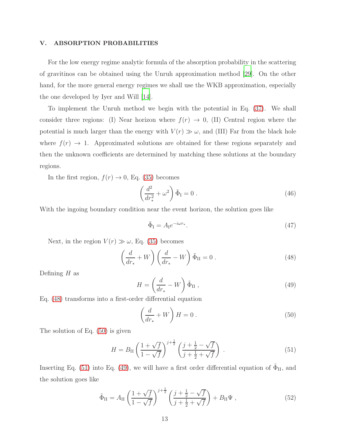#### V. ABSORPTION PROBABILITIES

For the low energy regime analytic formula of the absorption probability in the scattering of gravitinos can be obtained using the Unruh approximation method [\[29](#page-20-13)]. On the other hand, for the more general energy regimes we shall use the WKB approximation, especially the one developed by Iyer and Will [\[14](#page-19-13)].

To implement the Unruh method we begin with the potential in Eq. [\(37\)](#page-8-2). We shall consider three regions: (I) Near horizon where  $f(r) \rightarrow 0$ , (II) Central region where the potential is much larger than the energy with  $V(r) \gg \omega$ , and (III) Far from the black hole where  $f(r) \rightarrow 1$ . Approximated solutions are obtained for these regions separately and then the unknown coefficients are determined by matching these solutions at the boundary regions.

In the first region,  $f(r) \rightarrow 0$ , Eq. [\(35\)](#page-8-3) becomes

$$
\left(\frac{d^2}{dr_*^2} + \omega^2\right)\tilde{\Phi}_{\rm I} = 0\ .\tag{46}
$$

With the ingoing boundary condition near the event horizon, the solution goes like

$$
\tilde{\Phi}_{\mathcal{I}} = A_{\mathcal{I}} e^{-i\omega r_*}.\tag{47}
$$

Next, in the region  $V(r) \gg \omega$ , Eq. [\(35\)](#page-8-3) becomes

<span id="page-12-0"></span>
$$
\left(\frac{d}{dr_*} + W\right) \left(\frac{d}{dr_*} - W\right) \tilde{\Phi}_{II} = 0.
$$
\n(48)

Defining  $H$  as

<span id="page-12-3"></span>
$$
H = \left(\frac{d}{dr_*} - W\right)\tilde{\Phi}_{\rm II} \,,\tag{49}
$$

Eq. [\(48\)](#page-12-0) transforms into a first-order differential equation

<span id="page-12-1"></span>
$$
\left(\frac{d}{dr_*} + W\right)H = 0\ .
$$
\n(50)

The solution of Eq. [\(50\)](#page-12-1) is given

<span id="page-12-2"></span>
$$
H = B_{II} \left( \frac{1 + \sqrt{f}}{1 - \sqrt{f}} \right)^{j + \frac{1}{2}} \left( \frac{j + \frac{1}{2} - \sqrt{f}}{j + \frac{1}{2} + \sqrt{f}} \right) . \tag{51}
$$

Inserting Eq. [\(51\)](#page-12-2) into Eq. [\(49\)](#page-12-3), we will have a first order differential equation of  $\tilde{\Phi}_{II}$ , and the solution goes like

$$
\tilde{\Phi}_{II} = A_{II} \left( \frac{1 + \sqrt{f}}{1 - \sqrt{f}} \right)^{j + \frac{1}{2}} \left( \frac{j + \frac{1}{2} - \sqrt{f}}{j + \frac{1}{2} + \sqrt{f}} \right) + B_{II} \Psi , \qquad (52)
$$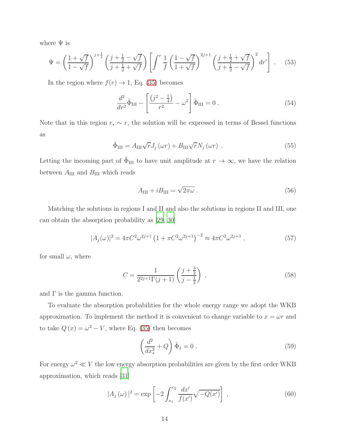where  $\Psi$  is

$$
\Psi = \left(\frac{1+\sqrt{f}}{1-\sqrt{f}}\right)^{j+\frac{1}{2}} \left(\frac{j+\frac{1}{2}-\sqrt{f}}{j+\frac{1}{2}+\sqrt{f}}\right) \left[\int^r \frac{1}{f} \left(\frac{1-\sqrt{f}}{1+\sqrt{f}}\right)^{2j+1} \left(\frac{j+\frac{1}{2}+\sqrt{f}}{j+\frac{1}{2}-\sqrt{f}}\right)^2 dr'\right].
$$
 (53)

In the region where  $f(r) \rightarrow 1$ , Eq. [\(35\)](#page-8-3) becomes

$$
\frac{d^2}{dr^2}\tilde{\Phi}_{\rm III} - \left[\frac{(j^2 - \frac{1}{4})}{r^2} - \omega^2\right]\tilde{\Phi}_{\rm III} = 0.
$$
\n(54)

Note that in this region  $r_* \sim r$ , the solution will be expressed in terms of Bessel functions as

$$
\tilde{\Phi}_{\text{III}} = A_{\text{III}} \sqrt{r} J_j \left(\omega r\right) + B_{\text{III}} \sqrt{r} N_j \left(\omega r\right) \,. \tag{55}
$$

Letting the incoming part of  $\tilde{\Phi}_{III}$  to have unit amplitude at  $r \to \infty$ , we have the relation between  $A_{\text{III}}$  and  $B_{\text{III}}$  which reads

$$
A_{\rm III} + iB_{\rm III} = \sqrt{2\pi\omega} \ . \tag{56}
$$

Matching the solutions in regions I and II and also the solutions in regions II and III, one can obtain the absorption probability as [\[29](#page-20-13), [30\]](#page-20-14)

$$
|A_j(\omega)|^2 = 4\pi C^2 \omega^{2j+1} \left(1 + \pi C^2 \omega^{2j+1}\right)^{-2} \approx 4\pi C^2 \omega^{2j+1} ,\qquad (57)
$$

for small  $\omega$ , where

$$
C = \frac{1}{2^{2j+1}\Gamma(j+1)} \left(\frac{j+\frac{3}{2}}{j-\frac{1}{2}}\right) ,\qquad(58)
$$

and  $\Gamma$  is the gamma function.

To evaluate the absorption probabilities for the whole energy range we adopt the WKB approximation. To implement the method it is convenient to change variable to  $x = \omega r$  and to take  $Q(x) = \omega^2 - V$ , where Eq. [\(35\)](#page-8-3) then becomes

$$
\left(\frac{d^2}{dx_*^2} + Q\right)\tilde{\Phi}_1 = 0.
$$
\n(59)

For energy  $\omega^2 \ll V$  the low energy absorption probabilities are given by the first order WKB approximation, which reads [\[31](#page-20-15)]

<span id="page-13-0"></span>
$$
|A_j(\omega)|^2 = \exp\left[-2\int_{x_1}^{x_2} \frac{dx'}{f(x')} \sqrt{-Q(x')}\right],
$$
\n(60)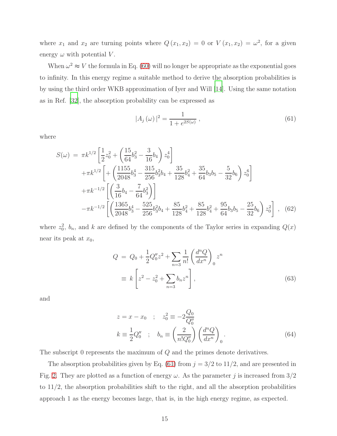where  $x_1$  and  $x_2$  are turning points where  $Q(x_1, x_2) = 0$  or  $V(x_1, x_2) = \omega^2$ , for a given energy  $\omega$  with potential V.

When  $\omega^2 \approx V$  the formula in Eq. [\(60\)](#page-13-0) will no longer be appropriate as the exponential goes to infinity. In this energy regime a suitable method to derive the absorption probabilities is by using the third order WKB approximation of Iyer and Will [\[14](#page-19-13)]. Using the same notation as in Ref. [\[32\]](#page-20-16), the absorption probability can be expressed as

<span id="page-14-0"></span>
$$
|A_j(\omega)|^2 = \frac{1}{1 + e^{2S(\omega)}},
$$
\n(61)

where

$$
S(\omega) = \pi k^{1/2} \left[ \frac{1}{2} z_0^2 + \left( \frac{15}{64} b_3^2 - \frac{3}{16} b_4 \right) z_0^4 \right] + \pi k^{1/2} \left[ + \left( \frac{1155}{2048} b_3^4 - \frac{315}{256} b_3^2 b_4 + \frac{35}{128} b_4^2 + \frac{35}{64} b_3 b_5 - \frac{5}{32} b_6 \right) z_0^6 \right] + \pi k^{-1/2} \left[ \left( \frac{3}{16} b_4 - \frac{7}{64} b_3^2 \right) \right] - \pi k^{-1/2} \left[ \left( \frac{1365}{2048} b_3^4 - \frac{525}{256} b_3^2 b_4 + \frac{85}{128} b_4^2 + \frac{85}{128} b_4^2 + \frac{95}{64} b_3 b_5 - \frac{25}{32} b_6 \right) z_0^2 \right], \quad (62)
$$

where  $z_0^2$ ,  $b_n$ , and k are defined by the components of the Taylor series in expanding  $Q(x)$ near its peak at  $x_0$ ,

$$
Q = Q_0 + \frac{1}{2}Q_0''z^2 + \sum_{n=3} \frac{1}{n!} \left(\frac{d^n Q}{dx^n}\right)_0 z^n
$$
  

$$
\equiv k \left[z^2 - z_0^2 + \sum_{n=3} b_n z^n\right],
$$
 (63)

and

$$
z = x - x_0 \quad ; \quad z_0^2 \equiv -2 \frac{Q_0}{Q_0''}
$$

$$
k \equiv \frac{1}{2} Q_0'' \quad ; \quad b_n \equiv \left(\frac{2}{n! Q_0''}\right) \left(\frac{d^n Q}{dx^n}\right)_0.
$$
(64)

The subscript 0 represents the maximum of Q and the primes denote derivatives.

The absorption probabilities given by Eq. [\(61\)](#page-14-0) from  $j = 3/2$  to 11/2, and are presented in Fig. [2.](#page-15-0) They are plotted as a function of energy  $\omega$ . As the parameter j is increased from  $3/2$ to 11/2, the absorption probabilities shift to the right, and all the absorption probabilities approach 1 as the energy becomes large, that is, in the high energy regime, as expected.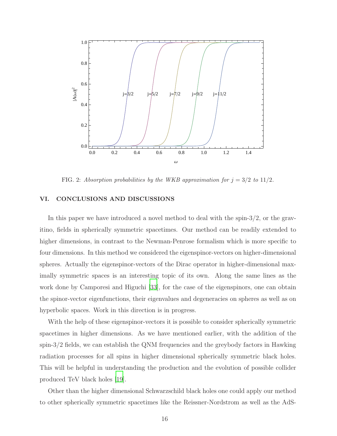

<span id="page-15-0"></span>FIG. 2: Absorption probabilities by the WKB approximation for  $j = 3/2$  to  $11/2$ .

### VI. CONCLUSIONS AND DISCUSSIONS

In this paper we have introduced a novel method to deal with the spin- $3/2$ , or the gravitino, fields in spherically symmetric spacetimes. Our method can be readily extended to higher dimensions, in contrast to the Newman-Penrose formalism which is more specific to four dimensions. In this method we considered the eigenspinor-vectors on higher-dimensional spheres. Actually the eigenspinor-vectors of the Dirac operator in higher-dimensional maximally symmetric spaces is an interesting topic of its own. Along the same lines as the work done by Camporesi and Higuchi [\[33\]](#page-20-17), for the case of the eigenspinors, one can obtain the spinor-vector eigenfunctions, their eigenvalues and degeneracies on spheres as well as on hyperbolic spaces. Work in this direction is in progress.

With the help of these eigenspinor-vectors it is possible to consider spherically symmetric spacetimes in higher dimensions. As we have mentioned earlier, with the addition of the spin-3/2 fields, we can establish the QNM frequencies and the greybody factors in Hawking radiation processes for all spins in higher dimensional spherically symmetric black holes. This will be helpful in understanding the production and the evolution of possible collider produced TeV black holes [\[19](#page-20-4)].

Other than the higher dimensional Schwarzschild black holes one could apply our method to other spherically symmetric spacetimes like the Reissner-Nordstrom as well as the AdS-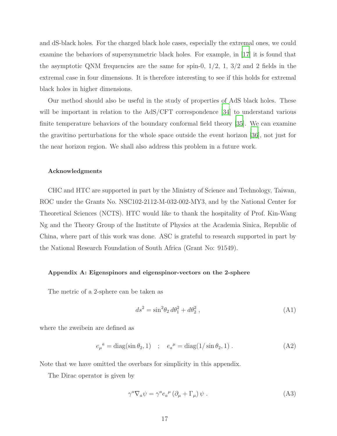and dS-black holes. For the charged black hole cases, especially the extremal ones, we could examine the behaviors of supersymmetric black holes. For example, in [\[17\]](#page-20-2) it is found that the asymptotic QNM frequencies are the same for spin-0,  $1/2$ , 1,  $3/2$  and 2 fields in the extremal case in four dimensions. It is therefore interesting to see if this holds for extremal black holes in higher dimensions.

Our method should also be useful in the study of properties of AdS black holes. These will be important in relation to the AdS/CFT correspondence [\[34\]](#page-20-18) to understand various finite temperature behaviors of the boundary conformal field theory [\[35](#page-20-19)]. We can examine the gravitino perturbations for the whole space outside the event horizon [\[36\]](#page-20-20), not just for the near horizon region. We shall also address this problem in a future work.

#### Acknowledgments

CHC and HTC are supported in part by the Ministry of Science and Technology, Taiwan, ROC under the Grants No. NSC102-2112-M-032-002-MY3, and by the National Center for Theoretical Sciences (NCTS). HTC would like to thank the hospitality of Prof. Kin-Wang Ng and the Theory Group of the Institute of Physics at the Academia Sinica, Republic of China, where part of this work was done. ASC is grateful to research supported in part by the National Research Foundation of South Africa (Grant No: 91549).

#### Appendix A: Eigenspinors and eigenspinor-vectors on the 2-sphere

The metric of a 2-sphere can be taken as

$$
ds^2 = \sin^2 \theta_2 d\theta_1^2 + d\theta_2^2 , \qquad (A1)
$$

where the zweibein are defined as

$$
e_{\mu}^{\ a} = \text{diag}(\sin \theta_2, 1) \quad ; \quad e_a^{\ \mu} = \text{diag}(1/\sin \theta_2, 1) \,. \tag{A2}
$$

Note that we have omitted the overbars for simplicity in this appendix.

The Dirac operator is given by

$$
\gamma^a \nabla_a \psi = \gamma^a e_a{}^\mu (\partial_\mu + \Gamma_\mu) \psi . \tag{A3}
$$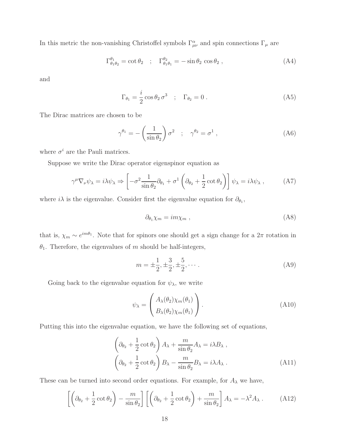In this metric the non-vanishing Christoffel symbols  $\Gamma^{\alpha}_{\mu\nu}$  and spin connections  $\Gamma_{\mu}$  are

$$
\Gamma^{\theta_1}_{\theta_1 \theta_2} = \cot \theta_2 \quad ; \quad \Gamma^{\theta_2}_{\theta_1 \theta_1} = -\sin \theta_2 \cos \theta_2 \,, \tag{A4}
$$

and

$$
\Gamma_{\theta_1} = \frac{i}{2} \cos \theta_2 \sigma^3 \quad ; \quad \Gamma_{\theta_2} = 0 \tag{A5}
$$

The Dirac matrices are chosen to be

$$
\gamma^{\theta_1} = -\left(\frac{1}{\sin \theta_2}\right) \sigma^2 \quad ; \quad \gamma^{\theta_2} = \sigma^1 \,, \tag{A6}
$$

where  $\sigma^i$  are the Pauli matrices.

Suppose we write the Dirac operator eigenspinor equation as

$$
\gamma^{\mu} \nabla_{\nu} \psi_{\lambda} = i \lambda \psi_{\lambda} \Rightarrow \left[ -\sigma^2 \frac{1}{\sin \theta_2} \partial_{\theta_1} + \sigma^1 \left( \partial_{\theta_2} + \frac{1}{2} \cot \theta_2 \right) \right] \psi_{\lambda} = i \lambda \psi_{\lambda} , \quad (A7)
$$

where  $i\lambda$  is the eigenvalue. Consider first the eigenvalue equation for  $\partial_{\theta_1}$ ,

$$
\partial_{\theta_1} \chi_m = im \chi_m , \qquad (A8)
$$

that is,  $\chi_m \sim e^{im\theta_1}$ . Note that for spinors one should get a sign change for a  $2\pi$  rotation in  $\theta_1$ . Therefore, the eigenvalues of m should be half-integers,

<span id="page-17-1"></span>
$$
m = \pm \frac{1}{2}, \pm \frac{3}{2}, \pm \frac{5}{2}, \cdots
$$
 (A9)

Going back to the eigenvalue equation for  $\psi_{\lambda}$ , we write

$$
\psi_{\lambda} = \begin{pmatrix} A_{\lambda}(\theta_2)\chi_m(\theta_1) \\ B_{\lambda}(\theta_2)\chi_m(\theta_1) \end{pmatrix} .
$$
\n(A10)

Putting this into the eigenvalue equation, we have the following set of equations,

$$
\left(\partial_{\theta_2} + \frac{1}{2}\cot\theta_2\right)A_{\lambda} + \frac{m}{\sin\theta_2}A_{\lambda} = i\lambda B_{\lambda},
$$

$$
\left(\partial_{\theta_2} + \frac{1}{2}\cot\theta_2\right)B_{\lambda} - \frac{m}{\sin\theta_2}B_{\lambda} = i\lambda A_{\lambda}.
$$
(A11)

These can be turned into second order equations. For example, for  $A_{\lambda}$  we have,

<span id="page-17-0"></span>
$$
\left[ \left( \partial_{\theta_2} + \frac{1}{2} \cot \theta_2 \right) - \frac{m}{\sin \theta_2} \right] \left[ \left( \partial_{\theta_2} + \frac{1}{2} \cot \theta_2 \right) + \frac{m}{\sin \theta_2} \right] A_{\lambda} = -\lambda^2 A_{\lambda} . \tag{A12}
$$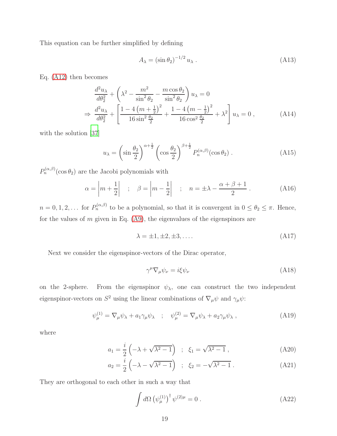This equation can be further simplified by defining

$$
A_{\lambda} = \left(\sin \theta_2\right)^{-1/2} u_{\lambda} \,. \tag{A13}
$$

Eq. [\(A12\)](#page-17-0) then becomes

$$
\frac{d^2 u_\lambda}{d\theta_2^2} + \left(\lambda^2 - \frac{m^2}{\sin^2 \theta_2} - \frac{m \cos \theta_2}{\sin^2 \theta_2}\right) u_\lambda = 0
$$
\n
$$
\Rightarrow \frac{d^2 u_\lambda}{d\theta_2^2} + \left[\frac{1 - 4\left(m + \frac{1}{2}\right)^2}{16 \sin^2 \frac{\theta_2}{2}} + \frac{1 - 4\left(m - \frac{1}{2}\right)^2}{16 \cos^2 \frac{\theta_2}{2}} + \lambda^2\right] u_\lambda = 0 \,, \tag{A14}
$$

with the solution [\[37](#page-20-21)]

$$
u_{\lambda} = \left(\sin\frac{\theta_2}{2}\right)^{\alpha+\frac{1}{2}} \left(\cos\frac{\theta_2}{2}\right)^{\beta+\frac{1}{2}} P_n^{(\alpha,\beta)}(\cos\theta_2) . \tag{A15}
$$

 $P_n^{(\alpha,\beta)}(\cos\theta_2)$  are the Jacobi polynomials with

$$
\alpha = \left| m + \frac{1}{2} \right| \quad ; \quad \beta = \left| m - \frac{1}{2} \right| \quad ; \quad n = \pm \lambda - \frac{\alpha + \beta + 1}{2} \,. \tag{A16}
$$

 $n = 0, 1, 2, \ldots$  for  $P_n^{(\alpha,\beta)}$  to be a polynomial, so that it is convergent in  $0 \le \theta_2 \le \pi$ . Hence, for the values of  $m$  given in Eq. [\(A9\)](#page-17-1), the eigenvalues of the eigenspinors are

<span id="page-18-0"></span>
$$
\lambda = \pm 1, \pm 2, \pm 3, \dots \tag{A17}
$$

Next we consider the eigenspinor-vectors of the Dirac operator,

$$
\gamma^{\mu} \nabla_{\mu} \psi_{\nu} = i \xi \psi_{\nu} \tag{A18}
$$

on the 2-sphere. From the eigenspinor  $\psi_{\lambda}$ , one can construct the two independent eigenspinor-vectors on  $S^2$  using the linear combinations of  $\nabla_\mu \psi$  and  $\gamma_\mu \psi$ :

$$
\psi_{\mu}^{(1)} = \nabla_{\mu}\psi_{\lambda} + a_1 \gamma_{\mu}\psi_{\lambda} \quad ; \quad \psi_{\mu}^{(2)} = \nabla_{\mu}\psi_{\lambda} + a_2 \gamma_{\mu}\psi_{\lambda} \tag{A19}
$$

where

$$
a_1 = \frac{i}{2} \left( -\lambda + \sqrt{\lambda^2 - 1} \right) \quad ; \quad \xi_1 = \sqrt{\lambda^2 - 1} \tag{A20}
$$

$$
a_2 = \frac{i}{2} \left( -\lambda - \sqrt{\lambda^2 - 1} \right) \quad ; \quad \xi_2 = -\sqrt{\lambda^2 - 1} \tag{A21}
$$

They are orthogonal to each other in such a way that

$$
\int d\Omega \left(\psi_{\mu}^{(1)}\right)^{\dagger} \psi^{(2)\mu} = 0 \tag{A22}
$$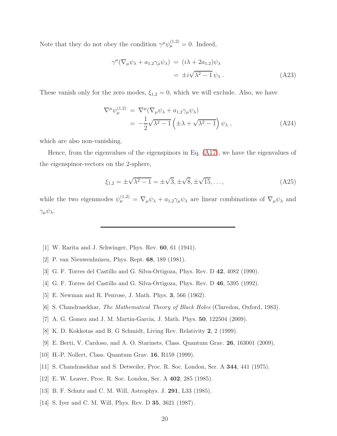Note that they do not obey the condition  $\gamma^{\mu}\psi_{\mu}^{(1,2)}=0$ . Indeed,

$$
\gamma^{\mu}(\nabla_{\mu}\psi_{\lambda} + a_{1,2}\gamma_{\mu}\psi_{\lambda}) = (i\lambda + 2a_{1,2})\psi_{\lambda}
$$
  
=  $\pm i\sqrt{\lambda^2 - 1}\psi_{\lambda}$ . (A23)

These vanish only for the zero modes,  $\xi_{1,2} = 0$ , which we will exclude. Also, we have

$$
\nabla^{\mu} \psi_{\mu}^{(1,2)} = \nabla^{\mu} (\nabla_{\mu} \psi_{\lambda} + a_{1,2} \gamma_{\mu} \psi_{\lambda})
$$
  
=  $-\frac{1}{2} \sqrt{\lambda^2 - 1} \left( \pm \lambda + \sqrt{\lambda^2 - 1} \right) \psi_{\lambda},$  (A24)

which are also non-vanishing.

Hence, from the eigenvalues of the eigenspinors in Eq. [\(A17\)](#page-18-0), we have the eigenvalues of the eigenspinor-vectors on the 2-sphere,

$$
\xi_{1,2} = \pm \sqrt{\lambda^2 - 1} = \pm \sqrt{3}, \pm \sqrt{8}, \pm \sqrt{15}, \dots,
$$
 (A25)

while the two eigenmodes  $\psi_{\mu}^{(1,2)} = \nabla_{\mu} \psi_{\lambda} + a_{1,2} \gamma_{\mu} \psi_{\lambda}$  are linear combinations of  $\nabla_{\mu} \psi_{\lambda}$  and  $\gamma_\mu \psi_\lambda.$ 

- <span id="page-19-0"></span>[1] W. Rarita and J. Schwinger, Phys. Rev. 60, 61 (1941).
- <span id="page-19-1"></span>[2] P. van Nieuwenhuizen, Phys. Rept. 68, 189 (1981).
- <span id="page-19-2"></span>[3] G. F. Torres del Castillo and G. Silva-Ortigoza, Phys. Rev. D 42, 4082 (1990).
- <span id="page-19-3"></span>[4] G. F. Torres del Castillo and G. Silva-Ortigoza, Phys. Rev. D 46, 5395 (1992).
- <span id="page-19-4"></span>[5] E. Newman and R. Penrose, J. Math. Phys. 3, 566 (1962).
- <span id="page-19-6"></span><span id="page-19-5"></span>[6] S. Chandrasekhar, The Mathematical Theory of Black Holes (Claredon, Oxford, 1983).
- [7] A. G. Gomez and J. M. Martin-Garcia, J. Math. Phys. 50, 122504 (2009).
- <span id="page-19-7"></span>[8] K. D. Kokkotas and B. G Schmidt, Living Rev. Relativity 2, 2 (1999).
- <span id="page-19-8"></span>[9] E. Berti, V. Cardoso, and A. O. Starinets, Class. Quantum Grav. 26, 163001 (2009).
- <span id="page-19-9"></span>[10] H.-P. Nollert, Class. Quantum Grav. 16, R159 (1999).
- <span id="page-19-10"></span>[11] S. Chandrasekhar and S. Detweiler, Proc. R. Soc. London, Ser. A 344, 441 (1975).
- <span id="page-19-11"></span>[12] E. W. Leaver, Proc. R. Soc. London, Ser. A 402, 285 (1985).
- <span id="page-19-12"></span>[13] B. F. Schutz and C. M. Will, Astrophys. J. 291, L33 (1985).
- <span id="page-19-13"></span>[14] S. Iyer and C. M. Will, Phys. Rev. D **35**, 3621 (1987).